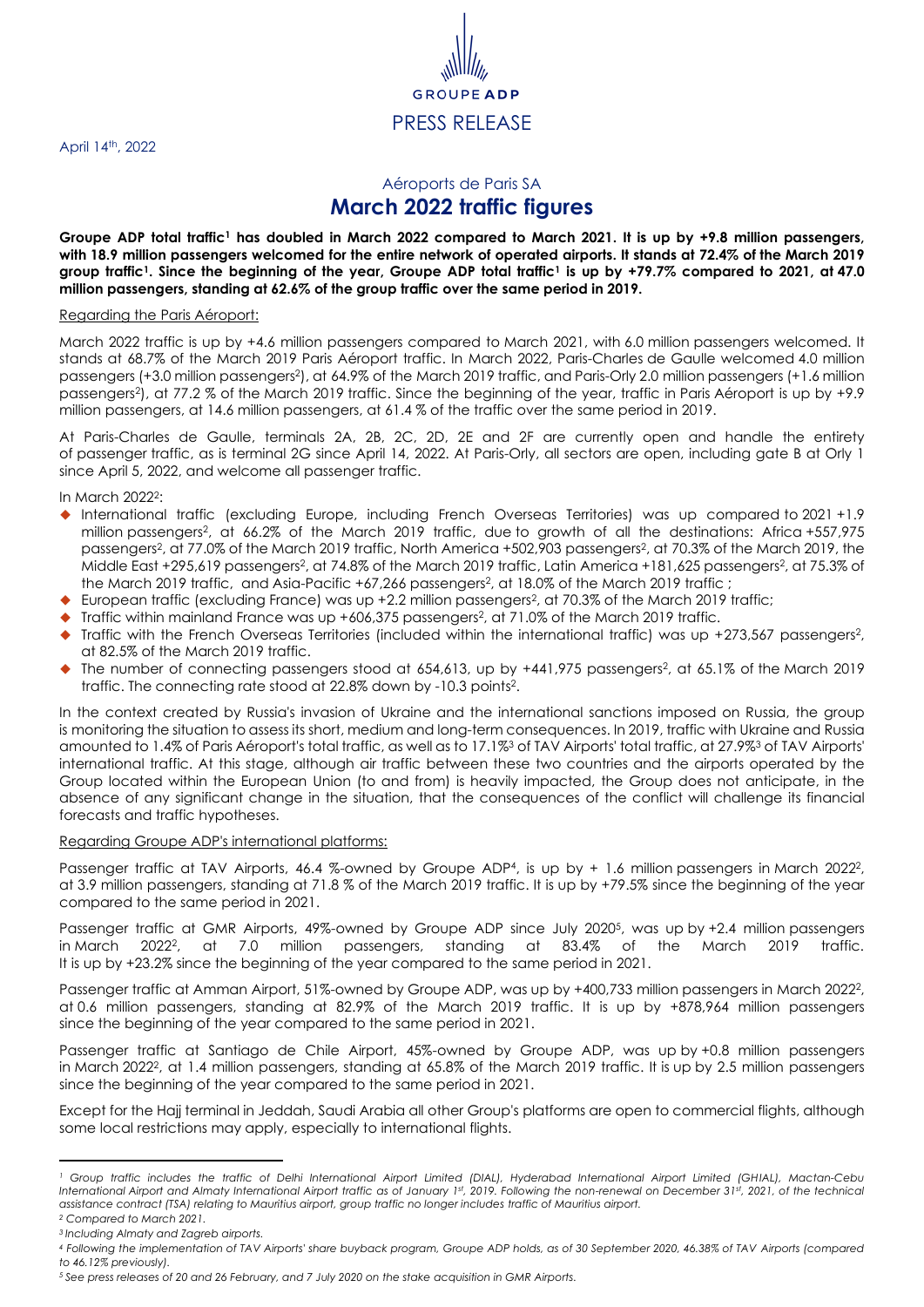April 14<sup>th</sup>, 2022

## GRC PRESS RELEASE

## <span id="page-0-1"></span><span id="page-0-0"></span>Aéroports de Paris SA **March 2022 traffic figures**

**Groupe ADP total traffic<sup>1</sup> has doubled in March 2022 compared to March 2021. It is up by +9.8 million passengers, with 18.9 million passengers welcomed for the entire network of operated airports. It stands at 72.4% of the March 2019 group traffi[c](#page-0-0)<sup>1</sup>. Since the beginning of the year, Groupe ADP total traffi[c](#page-0-0)<sup>1</sup> is up by +79.7% compared to 2021, at 47.0 million passengers, standing at 62.6% of the group traffic over the same period in 2019.**

## Regarding the Paris Aéroport:

March 2022 traffic is up by +4.6 million passengers compared to March 2021, with 6.0 million passengers welcomed. It stands at 68.7% of the March 2019 Paris Aéroport traffic. In March 2022, Paris-Charles de Gaulle welcomed 4.0 million passengers (+3.0 million passengers<sup>2</sup>), at 64.9% of the March 2019 traffic, and Paris-Orly 2.0 million passengers (+1.6 million passengers<sup>2</sup> [\)](#page-0-1), at 77.2 % of the March 2019 traffic. Since the beginning of the year, traffic in Paris Aéroport is up by +9.9 million passengers, at 14.6 million passengers, at 61.4 % of the traffic over the same period in 2019.

At Paris-Charles de Gaulle, terminals 2A, 2B, 2C, 2D, 2E and 2F are currently open and handle the entirety of passenger traffic, as is terminal 2G since April 14, 2022. At Paris-Orly, all sectors are open, including gate B at Orly 1 since April 5, 2022, and welcome all passenger traffic.

In March 2022<sup>2</sup>[:](#page-0-1)

- ◆ International traffic (excluding Europe, including French Overseas Territories) was up compared to 2021 +1.9 million passenger[s](#page-0-1)<sup>2</sup> , at 66.2% of the March 2019 traffic, due to growth of all the destinations: Africa +557,975 passengers<sup>2</sup>[,](#page-0-1) at 77.0% of the March 2019 traffic[,](#page-0-1) North America +502,903 passengers<sup>2</sup>, at 70.3% of the March 2019, the Middle East +295,619 passenger[s](#page-0-1)<sup>2</sup> , at 74.8% of the March 2019 traffic, Latin America +181,625 passenger[s](#page-0-1)<sup>2</sup> , at 75.3% of the March [2](#page-0-1)019 traffic, and Asia-Pacific +67,266 passengers<sup>2</sup>, at 18.0% of the March 2019 traffic ;
- ◆ European traffic (excluding France) wa[s](#page-0-1) up +2.2 million passengers<sup>2</sup>, at 70.3% of the March 2019 traffic;
- ◆ Traffic within mainland France wa[s](#page-0-1) up +606,375 passengers<sup>2</sup>, at 71.0% of the March 2019 traffic.
- ◆ Traffic with the French Over[s](#page-0-1)eas Territories (included within the international traffic) was up +273,567 passengers<sup>2</sup>, at 82.5% of the March 2019 traffic.
- ◆ The number of connecting passengers stood at 654,613, up by +441,975 passengers<sup>[2](#page-0-1)</sup>, at 65.1% of the March 2019 traffic. The connecting rate stood at 22.8% down by -10.3 points 2 [.](#page-0-1)

<span id="page-0-2"></span>In the context created by Russia's invasion of Ukraine and the international sanctions imposed on Russia, the group is monitoring the situation to assess its short, medium and long-term consequences. In 2019, traffic with Ukraine and Russia amounted to 1.4% of Paris Aéroport's total traffic, as well as to 17.1%<sup>3</sup> of TAV Airports' total traffic, at 27.9%[3](#page-0-2) of TAV Airports' international traffic. At this stage, although air traffic between these two countries and the airports operated by the Group located within the European Union (to and from) is heavily impacted, the Group does not anticipate, in the absence of any significant change in the situation, that the consequences of the conflict will challenge its financial forecasts and traffic hypotheses.

## Regarding Groupe ADP's international platforms:

Passenger traffic at TAV Airports, 46.4 %-owned by Groupe ADP<sup>4</sup>, is up by + 1.6 million passengers in March [2](#page-0-1)022<sup>2</sup>, at 3.9 million passengers, standing at 71.8 % of the March 2019 traffic. It is up by +79.5% since the beginning of the year compared to the same period in 2021.

Passenger traffic at GMR Airports, 49%-owned by Groupe ADP since July 2020<sup>5</sup> , was up by +2.4 million passengers in March  $2022^2$  $2022^2$ . at 7.0 million passengers, standing at 83.4% of the March 2019 traffic. It is up by +23.2% since the beginning of the year compared to the same period in 2021.

Passenger traffic at Amman Airport, 51%-owned by Groupe ADP, was up by +400,733 million passengers in March [2](#page-0-1)022<sup>2</sup>, at 0.6 million passengers, standing at 82.9% of the March 2019 traffic. It is up by +878,964 million passengers since the beginning of the year compared to the same period in 2021.

Passenger traffic at Santiago de Chile Airport, 45%-owned by Groupe ADP, was up by +0.8 million passengers in March [2](#page-0-1)022<sup>2</sup>, at 1.4 million passengers, standing at 65.8% of the March 2019 traffic. It is up by 2.5 million passengers since the beginning of the year compared to the same period in 2021.

Except for the Hajj terminal in Jeddah, Saudi Arabia all other Group's platforms are open to commercial flights, although some local restrictions may apply, especially to international flights.

*<sup>1</sup> Group traffic includes the traffic of Delhi International Airport Limited (DIAL), Hyderabad International Airport Limited (GHIAL), Mactan-Cebu International Airport and Almaty International Airport traffic as of January 1st, 2019. Following the non-renewal on December 31st, 2021, of the technical assistance contract (TSA) relating to Mauritius airport, group traffic no longer includes traffic of Mauritius airport.*

*<sup>2</sup> Compared to March 2021.*

*<sup>3</sup> Including Almaty and Zagreb airports.*

*<sup>4</sup> Following the implementation of TAV Airports' share buyback program, Groupe ADP holds, as of 30 September 2020, 46.38% of TAV Airports (compared to 46.12% previously).*

*<sup>5</sup> See press releases of 20 and 26 February, and 7 July 2020 on the stake acquisition in GMR Airports.*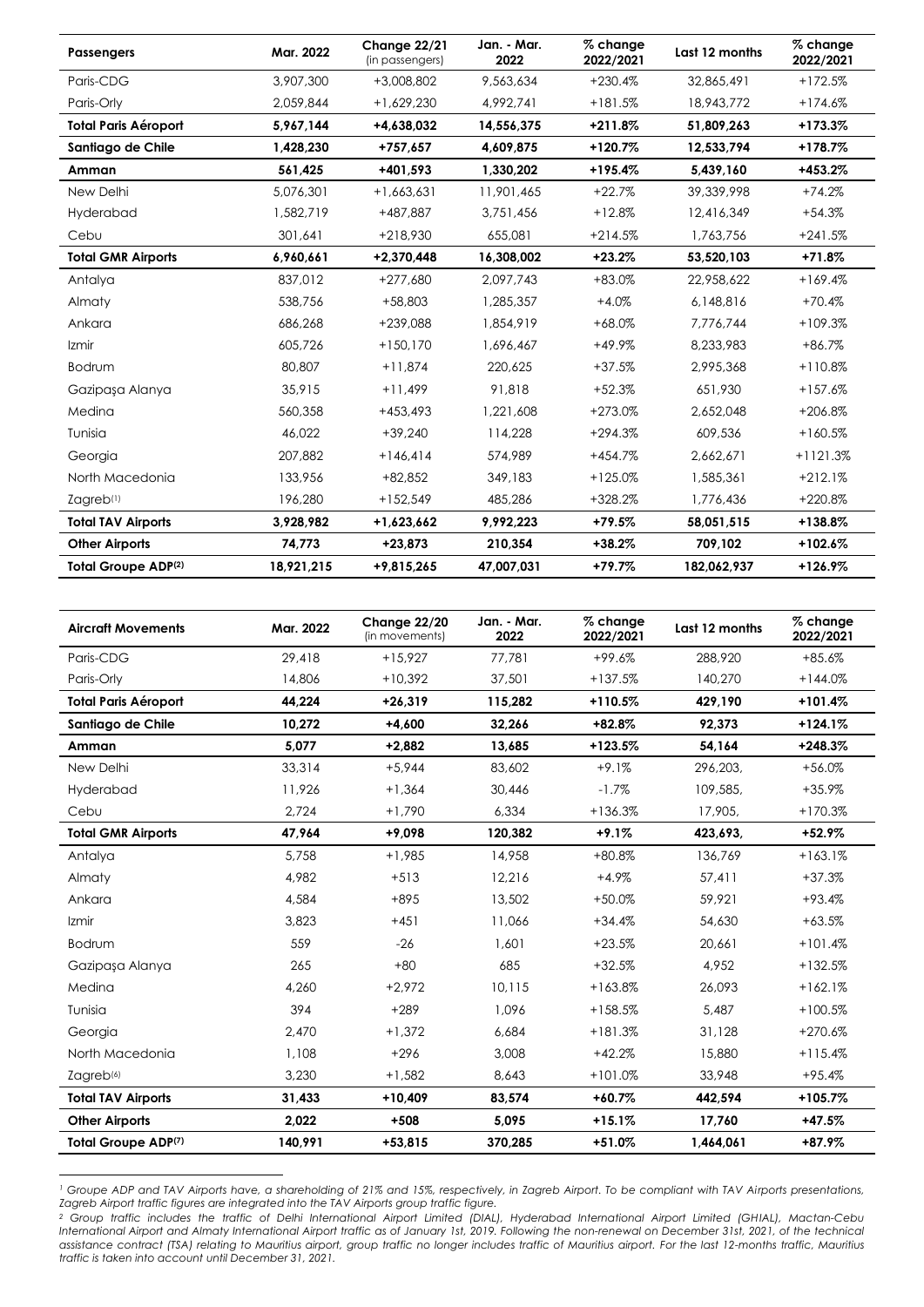| <b>Passengers</b>           | Mar. 2022  | Change 22/21<br>(in passengers) | Jan. - Mar.<br>2022 | % change<br>2022/2021 | Last 12 months | % change<br>2022/2021 |
|-----------------------------|------------|---------------------------------|---------------------|-----------------------|----------------|-----------------------|
| Paris-CDG                   | 3,907,300  | +3,008,802                      | 9,563,634           | $+230.4%$             | 32,865,491     | $+172.5%$             |
| Paris-Orly                  | 2,059,844  | $+1,629,230$                    | 4,992,741           | $+181.5%$             | 18,943,772     | $+174.6%$             |
| <b>Total Paris Aéroport</b> | 5,967,144  | +4.638.032                      | 14,556,375          | $+211.8%$             | 51,809,263     | $+173.3%$             |
| Santiago de Chile           | 1,428,230  | +757,657                        | 4,609,875           | $+120.7%$             | 12,533,794     | $+178.7%$             |
| Amman                       | 561.425    | +401.593                        | 1,330,202           | $+195.4%$             | 5,439,160      | $+453.2%$             |
| New Delhi                   | 5,076,301  | $+1,663,631$                    | 11,901,465          | $+22.7%$              | 39,339,998     | $+74.2%$              |
| Hyderabad                   | 1,582,719  | +487.887                        | 3,751,456           | $+12.8%$              | 12,416,349     | $+54.3%$              |
| Cebu                        | 301,641    | +218,930                        | 655,081             | $+214.5%$             | 1,763,756      | $+241.5%$             |
| <b>Total GMR Airports</b>   | 6,960,661  | $+2.370.448$                    | 16,308,002          | $+23.2%$              | 53,520,103     | $+71.8%$              |
| Antalya                     | 837,012    | $+277,680$                      | 2,097,743           | $+83.0%$              | 22,958,622     | $+169.4%$             |
| Almaty                      | 538,756    | $+58,803$                       | 1,285,357           | $+4.0%$               | 6,148,816      | $+70.4%$              |
| Ankara                      | 686,268    | +239,088                        | 1,854,919           | $+68.0%$              | 7,776,744      | $+109.3%$             |
| Izmir                       | 605,726    | $+150.170$                      | 1,696,467           | $+49.9%$              | 8.233.983      | $+86.7%$              |
| Bodrum                      | 80,807     | $+11,874$                       | 220,625             | $+37.5%$              | 2,995,368      | $+110.8%$             |
| Gazipasa Alanya             | 35,915     | $+11,499$                       | 91,818              | $+52.3%$              | 651,930        | $+157.6%$             |
| Medina                      | 560,358    | $+453.493$                      | 1,221,608           | $+273.0%$             | 2,652,048      | +206.8%               |
| Tunisia                     | 46,022     | $+39,240$                       | 114,228             | $+294.3%$             | 609,536        | $+160.5%$             |
| Georgia                     | 207.882    | $+146.414$                      | 574,989             | $+454.7%$             | 2,662,671      | $+1121.3%$            |
| North Macedonia             | 133,956    | $+82.852$                       | 349,183             | $+125.0%$             | 1,585,361      | $+212.1%$             |
| Zagreb <sup>(1)</sup>       | 196,280    | $+152,549$                      | 485,286             | +328.2%               | 1,776,436      | +220.8%               |
| <b>Total TAV Airports</b>   | 3,928,982  | +1,623,662                      | 9,992,223           | $+79.5%$              | 58,051,515     | $+138.8%$             |
| <b>Other Airports</b>       | 74,773     | $+23,873$                       | 210,354             | $+38.2%$              | 709,102        | $+102.6%$             |
| <b>Total Groupe ADP(2)</b>  | 18,921,215 | +9,815,265                      | 47,007,031          | $+79.7%$              | 182,062,937    | $+126.9%$             |

<span id="page-1-1"></span><span id="page-1-0"></span>

| <b>Aircraft Movements</b>   | Mar. 2022 | Change 22/20<br>(in movements) | Jan. - Mar.<br>2022 | % change<br>2022/2021 | Last 12 months | % change<br>2022/2021 |
|-----------------------------|-----------|--------------------------------|---------------------|-----------------------|----------------|-----------------------|
| Paris-CDG                   | 29,418    | $+15.927$                      | 77,781              | $+99.6%$              | 288,920        | $+85.6%$              |
| Paris-Orly                  | 14,806    | $+10,392$                      | 37,501              | $+137.5%$             | 140,270        | $+144.0%$             |
| <b>Total Paris Aéroport</b> | 44.224    | $+26,319$                      | 115,282             | $+110.5%$             | 429.190        | $+101.4%$             |
| Santiago de Chile           | 10,272    | $+4.600$                       | 32,266              | $+82.8%$              | 92,373         | $+124.1%$             |
| Amman                       | 5.077     | $+2,882$                       | 13,685              | $+123.5%$             | 54,164         | $+248.3%$             |
| New Delhi                   | 33,314    | $+5,944$                       | 83,602              | $+9.1%$               | 296,203,       | $+56.0%$              |
| Hyderabad                   | 11,926    | $+1,364$                       | 30,446              | $-1.7%$               | 109,585,       | $+35.9%$              |
| Cebu                        | 2.724     | $+1.790$                       | 6,334               | $+136.3%$             | 17,905,        | $+170.3%$             |
| <b>Total GMR Airports</b>   | 47.964    | $+9,098$                       | 120,382             | $+9.1%$               | 423,693,       | $+52.9%$              |
| Antalya                     | 5,758     | $+1,985$                       | 14,958              | $+80.8%$              | 136,769        | $+163.1%$             |
| Almaty                      | 4,982     | $+513$                         | 12,216              | $+4.9%$               | 57,411         | $+37.3%$              |
| Ankara                      | 4,584     | $+895$                         | 13,502              | $+50.0%$              | 59,921         | $+93.4%$              |
| Izmir                       | 3,823     | $+451$                         | 11,066              | $+34.4%$              | 54,630         | $+63.5%$              |
| Bodrum                      | 559       | $-26$                          | 1,601               | $+23.5%$              | 20,661         | $+101.4%$             |
| Gazipaşa Alanya             | 265       | $+80$                          | 685                 | $+32.5%$              | 4,952          | $+132.5%$             |
| Medina                      | 4,260     | $+2,972$                       | 10,115              | $+163.8%$             | 26,093         | $+162.1%$             |
| Tunisia                     | 394       | $+289$                         | 1.096               | $+158.5%$             | 5.487          | $+100.5%$             |
| Georgia                     | 2.470     | $+1,372$                       | 6,684               | $+181.3%$             | 31,128         | $+270.6%$             |
| North Macedonia             | 1,108     | $+296$                         | 3,008               | $+42.2%$              | 15,880         | $+115.4%$             |
| Zagreb <sup>(6)</sup>       | 3,230     | $+1,582$                       | 8,643               | $+101.0%$             | 33,948         | $+95.4%$              |
| <b>Total TAV Airports</b>   | 31,433    | $+10,409$                      | 83,574              | $+60.7%$              | 442,594        | $+105.7%$             |
| <b>Other Airports</b>       | 2,022     | $+508$                         | 5,095               | $+15.1%$              | 17,760         | $+47.5%$              |
| Total Groupe ADP(7)         | 140,991   | $+53,815$                      | 370,285             | $+51.0%$              | 1,464,061      | +87.9%                |

*<sup>1</sup> Groupe ADP and TAV Airports have, a shareholding of 21% and 15%, respectively, in Zagreb Airport. To be compliant with TAV Airports presentations, Zagreb Airport traffic figures are integrated into the TAV Airports group traffic figure.*

*<sup>2</sup> Group traffic includes the traffic of Delhi International Airport Limited (DIAL), Hyderabad International Airport Limited (GHIAL), Mactan-Cebu International Airport and Almaty International Airport traffic as of January 1st, 2019. Following the non-renewal on December 31st, 2021, of the technical assistance contract (TSA) relating to Mauritius airport, group traffic no longer includes traffic of Mauritius airport. For the last 12-months traffic, Mauritius traffic is taken into account until December 31, 2021.*